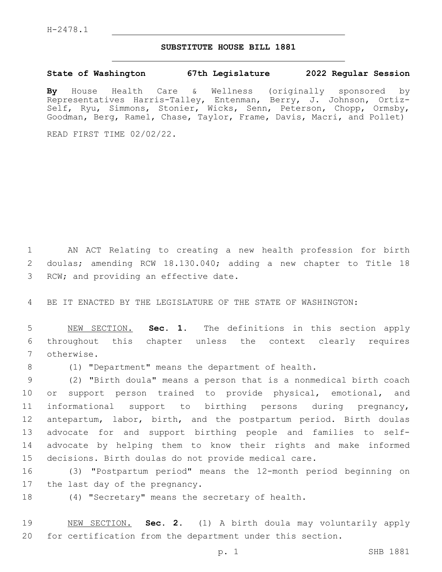## **SUBSTITUTE HOUSE BILL 1881**

**State of Washington 67th Legislature 2022 Regular Session**

**By** House Health Care & Wellness (originally sponsored by Representatives Harris-Talley, Entenman, Berry, J. Johnson, Ortiz-Self, Ryu, Simmons, Stonier, Wicks, Senn, Peterson, Chopp, Ormsby, Goodman, Berg, Ramel, Chase, Taylor, Frame, Davis, Macri, and Pollet)

READ FIRST TIME 02/02/22.

 AN ACT Relating to creating a new health profession for birth doulas; amending RCW 18.130.040; adding a new chapter to Title 18 3 RCW; and providing an effective date.

BE IT ENACTED BY THE LEGISLATURE OF THE STATE OF WASHINGTON:

 NEW SECTION. **Sec. 1.** The definitions in this section apply throughout this chapter unless the context clearly requires otherwise.

(1) "Department" means the department of health.

 (2) "Birth doula" means a person that is a nonmedical birth coach or support person trained to provide physical, emotional, and informational support to birthing persons during pregnancy, antepartum, labor, birth, and the postpartum period. Birth doulas advocate for and support birthing people and families to self- advocate by helping them to know their rights and make informed decisions. Birth doulas do not provide medical care.

 (3) "Postpartum period" means the 12-month period beginning on 17 the last day of the pregnancy.

(4) "Secretary" means the secretary of health.

 NEW SECTION. **Sec. 2.** (1) A birth doula may voluntarily apply for certification from the department under this section.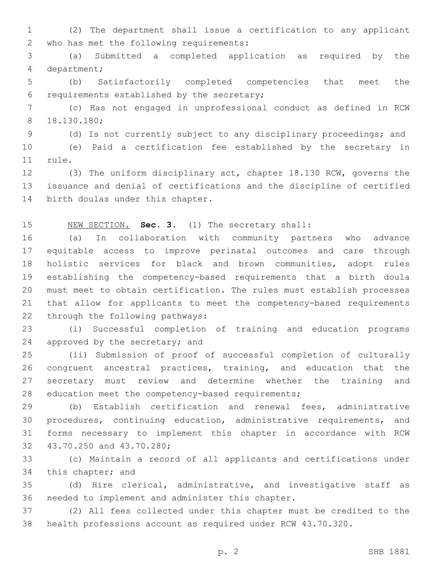(2) The department shall issue a certification to any applicant 2 who has met the following requirements:

 (a) Submitted a completed application as required by the 4 department;

 (b) Satisfactorily completed competencies that meet the 6 requirements established by the secretary;

 (c) Has not engaged in unprofessional conduct as defined in RCW 18.130.180;8

(d) Is not currently subject to any disciplinary proceedings; and

 (e) Paid a certification fee established by the secretary in 11 rule.

 (3) The uniform disciplinary act, chapter 18.130 RCW, governs the issuance and denial of certifications and the discipline of certified 14 birth doulas under this chapter.

## NEW SECTION. **Sec. 3.** (1) The secretary shall:

 (a) In collaboration with community partners who advance equitable access to improve perinatal outcomes and care through holistic services for black and brown communities, adopt rules establishing the competency-based requirements that a birth doula must meet to obtain certification. The rules must establish processes that allow for applicants to meet the competency-based requirements 22 through the following pathways:

 (i) Successful completion of training and education programs 24 approved by the secretary; and

 (ii) Submission of proof of successful completion of culturally congruent ancestral practices, training, and education that the secretary must review and determine whether the training and 28 education meet the competency-based requirements;

 (b) Establish certification and renewal fees, administrative procedures, continuing education, administrative requirements, and forms necessary to implement this chapter in accordance with RCW 32 43.70.250 and 43.70.280;

 (c) Maintain a record of all applicants and certifications under 34 this chapter; and

 (d) Hire clerical, administrative, and investigative staff as 36 needed to implement and administer this chapter.

 (2) All fees collected under this chapter must be credited to the health professions account as required under RCW 43.70.320.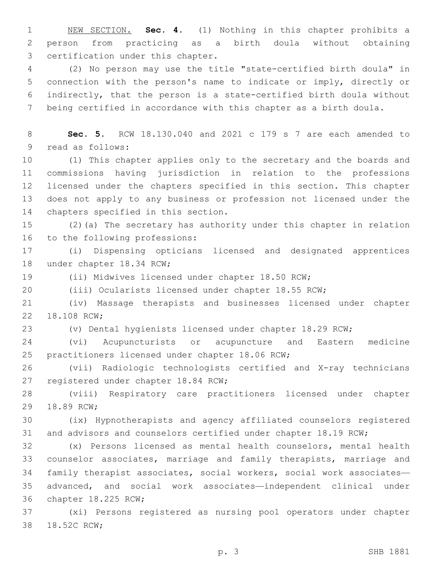NEW SECTION. **Sec. 4.** (1) Nothing in this chapter prohibits a person from practicing as a birth doula without obtaining certification under this chapter.

 (2) No person may use the title "state-certified birth doula" in connection with the person's name to indicate or imply, directly or indirectly, that the person is a state-certified birth doula without being certified in accordance with this chapter as a birth doula.

 **Sec. 5.** RCW 18.130.040 and 2021 c 179 s 7 are each amended to 9 read as follows:

 (1) This chapter applies only to the secretary and the boards and commissions having jurisdiction in relation to the professions licensed under the chapters specified in this section. This chapter does not apply to any business or profession not licensed under the 14 chapters specified in this section.

 (2)(a) The secretary has authority under this chapter in relation 16 to the following professions:

 (i) Dispensing opticians licensed and designated apprentices 18 under chapter 18.34 RCW;

(ii) Midwives licensed under chapter 18.50 RCW;

(iii) Ocularists licensed under chapter 18.55 RCW;

 (iv) Massage therapists and businesses licensed under chapter 22 18.108 RCW;

(v) Dental hygienists licensed under chapter 18.29 RCW;

 (vi) Acupuncturists or acupuncture and Eastern medicine 25 practitioners licensed under chapter 18.06 RCW;

 (vii) Radiologic technologists certified and X-ray technicians 27 registered under chapter 18.84 RCW;

 (viii) Respiratory care practitioners licensed under chapter 29 18.89 RCW;

 (ix) Hypnotherapists and agency affiliated counselors registered and advisors and counselors certified under chapter 18.19 RCW;

 (x) Persons licensed as mental health counselors, mental health counselor associates, marriage and family therapists, marriage and family therapist associates, social workers, social work associates— advanced, and social work associates—independent clinical under 36 chapter 18.225 RCW;

 (xi) Persons registered as nursing pool operators under chapter 38 18.52C RCW;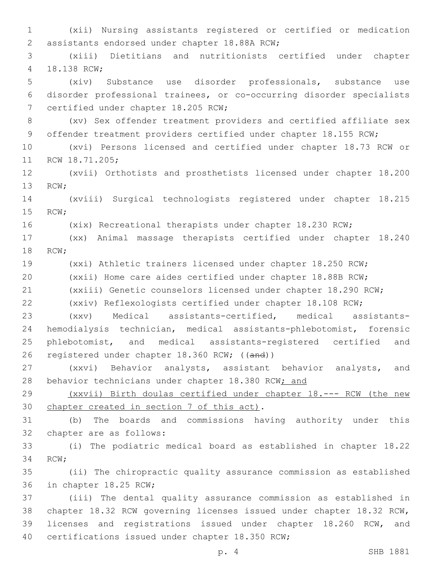(xii) Nursing assistants registered or certified or medication 2 assistants endorsed under chapter 18.88A RCW; (xiii) Dietitians and nutritionists certified under chapter 4 18.138 RCW; (xiv) Substance use disorder professionals, substance use disorder professional trainees, or co-occurring disorder specialists 7 certified under chapter 18.205 RCW; (xv) Sex offender treatment providers and certified affiliate sex 9 offender treatment providers certified under chapter 18.155 RCW; (xvi) Persons licensed and certified under chapter 18.73 RCW or 11 RCW 18.71.205; (xvii) Orthotists and prosthetists licensed under chapter 18.200 13 RCW; (xviii) Surgical technologists registered under chapter 18.215 15 RCW; (xix) Recreational therapists under chapter 18.230 RCW; (xx) Animal massage therapists certified under chapter 18.240 18 RCW; (xxi) Athletic trainers licensed under chapter 18.250 RCW; (xxii) Home care aides certified under chapter 18.88B RCW; (xxiii) Genetic counselors licensed under chapter 18.290 RCW; (xxiv) Reflexologists certified under chapter 18.108 RCW; (xxv) Medical assistants-certified, medical assistants- hemodialysis technician, medical assistants-phlebotomist, forensic phlebotomist, and medical assistants-registered certified and registered under chapter 18.360 RCW; ((and)) (xxvi) Behavior analysts, assistant behavior analysts, and 28 behavior technicians under chapter 18.380 RCW; and (xxvii) Birth doulas certified under chapter 18.--- RCW (the new 30 chapter created in section 7 of this act). (b) The boards and commissions having authority under this 32 chapter are as follows: (i) The podiatric medical board as established in chapter 18.22 34 RCW; (ii) The chiropractic quality assurance commission as established 36 in chapter 18.25 RCW; (iii) The dental quality assurance commission as established in chapter 18.32 RCW governing licenses issued under chapter 18.32 RCW, licenses and registrations issued under chapter 18.260 RCW, and 40 certifications issued under chapter 18.350 RCW;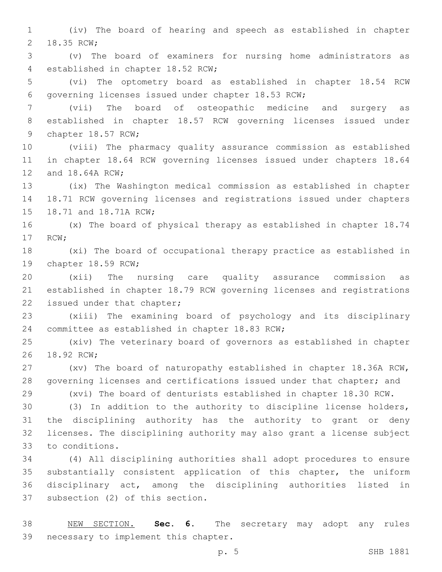(iv) The board of hearing and speech as established in chapter 2 18.35 RCW;

 (v) The board of examiners for nursing home administrators as 4 established in chapter 18.52 RCW;

 (vi) The optometry board as established in chapter 18.54 RCW 6 governing licenses issued under chapter 18.53 RCW;

 (vii) The board of osteopathic medicine and surgery as established in chapter 18.57 RCW governing licenses issued under 9 chapter 18.57 RCW;

 (viii) The pharmacy quality assurance commission as established in chapter 18.64 RCW governing licenses issued under chapters 18.64 12 and 18.64A RCW;

 (ix) The Washington medical commission as established in chapter 18.71 RCW governing licenses and registrations issued under chapters 15 18.71 and 18.71A RCW;

 (x) The board of physical therapy as established in chapter 18.74 17 RCW;

 (xi) The board of occupational therapy practice as established in 19 chapter 18.59 RCW;

 (xii) The nursing care quality assurance commission as established in chapter 18.79 RCW governing licenses and registrations 22 issued under that chapter;

 (xiii) The examining board of psychology and its disciplinary 24 committee as established in chapter 18.83 RCW;

 (xiv) The veterinary board of governors as established in chapter 26 18.92 RCW:

 (xv) The board of naturopathy established in chapter 18.36A RCW, governing licenses and certifications issued under that chapter; and

 (xvi) The board of denturists established in chapter 18.30 RCW. (3) In addition to the authority to discipline license holders,

 the disciplining authority has the authority to grant or deny licenses. The disciplining authority may also grant a license subject 33 to conditions.

 (4) All disciplining authorities shall adopt procedures to ensure substantially consistent application of this chapter, the uniform disciplinary act, among the disciplining authorities listed in 37 subsection (2) of this section.

 NEW SECTION. **Sec. 6.** The secretary may adopt any rules necessary to implement this chapter.